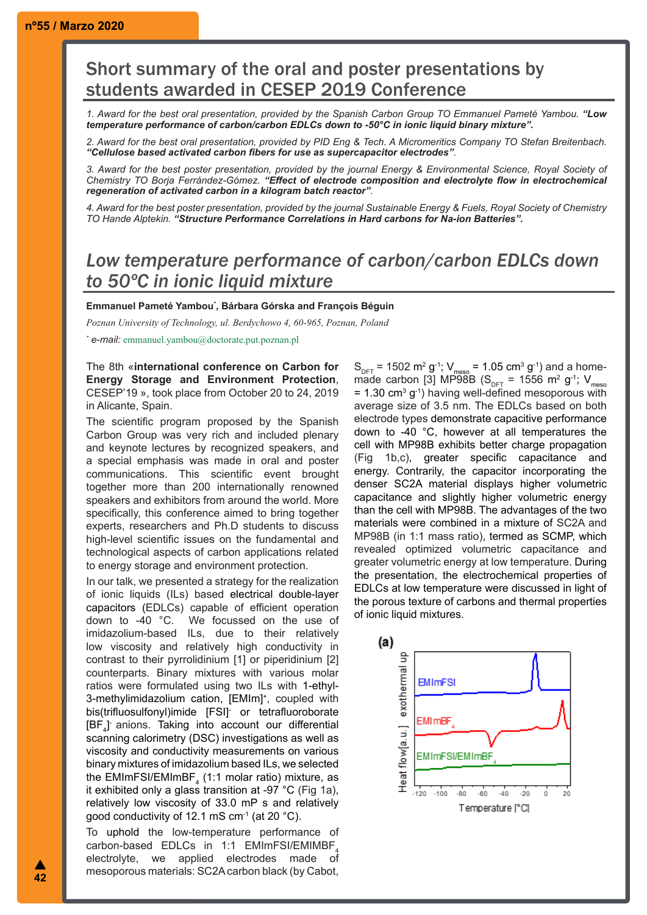## Short summary of the oral and poster presentations by students awarded in CESEP 2019 Conference

*1. Award for the best oral presentation, provided by the Spanish Carbon Group TO Emmanuel Pameté Yambou. "Low temperature performance of carbon/carbon EDLCs down to -50°C in ionic liquid binary mixture".*

*2. Award for the best oral presentation, provided by PID Eng & Tech. A Micromeritics Company TO Stefan Breitenbach. "Cellulose based activated carbon fibers for use as supercapacitor electrodes".*

*3. Award for the best poster presentation, provided by the journal Energy & Environmental Science, Royal Society of Chemistry TO Borja Ferrández-Gómez. "Effect of electrode composition and electrolyte flow in electrochemical regeneration of activated carbon in a kilogram batch reactor".* 

*4. Award for the best poster presentation, provided by the journal Sustainable Energy & Fuels, Royal Society of Chemistry TO Hande Alptekin. "Structure Performance Correlations in Hard carbons for Na-ion Batteries".*

## *Low temperature performance of carbon/carbon EDLCs down to 50ºC in ionic liquid mixture*

**Emmanuel Pameté Yambou\* , Bárbara Górska and François Béguin**

*Poznan University of Technology, ul. Berdychowo 4, 60-965, Poznan, Poland*

*\* e-mail:* emmanuel.yambou@doctorate.put.poznan.pl

## The 8th «**international conference on Carbon for Energy Storage and Environment Protection**, CESEP'19 », took place from October 20 to 24, 2019 in Alicante, Spain.

The scientific program proposed by the Spanish Carbon Group was very rich and included plenary and keynote lectures by recognized speakers, and a special emphasis was made in oral and poster communications. This scientific event brought together more than 200 internationally renowned speakers and exhibitors from around the world. More specifically, this conference aimed to bring together experts, researchers and Ph.D students to discuss high-level scientific issues on the fundamental and technological aspects of carbon applications related to energy storage and environment protection.

In our talk, we presented a strategy for the realization of ionic liquids (ILs) based electrical double-layer capacitors (EDLCs) capable of efficient operation down to -40 °C. We focussed on the use of imidazolium-based ILs, due to their relatively low viscosity and relatively high conductivity in contrast to their pyrrolidinium [1] or piperidinium [2] counterparts. Binary mixtures with various molar ratios were formulated using two ILs with 1-ethyl-3-methylimidazolium cation, [EMIm]<sup>+</sup>, coupled with bis(trifluosulfonyl)imide [FSI]- or tetrafluoroborate [BF<sub>4</sub>] anions. Taking into account our differential scanning calorimetry (DSC) investigations as well as viscosity and conductivity measurements on various binary mixtures of imidazolium based ILs, we selected the EMImFSI/EMImBF $_{\tiny{4}}$  (1:1 molar ratio) mixture, as it exhibited only a glass transition at -97 °C (Fig 1a), relatively low viscosity of 33.0 mP s and relatively good conductivity of 12.1 mS  $cm<sup>-1</sup>$  (at 20  $°C$ ).

To uphold the low-temperature performance of carbon-based EDLCs in 1:1 EMImFSI/EMIMBF<sub>4</sub><br>electrolyte, we applied electrodes made of applied electrodes made of mesoporous materials: SC2A carbon black (by Cabot,  $S_{\text{DFT}}$  = 1502 m<sup>2</sup> g<sup>-1</sup>; V<sub>meso</sub> = 1.05 cm<sup>3</sup> g<sup>-1</sup>) and a homemade carbon [3] MP98B ( $S_{\text{DFT}}$  = 1556 m<sup>2</sup> g<sup>-1</sup>; V<sub>mesc</sub>  $=$  1.30 cm<sup>3</sup> g<sup>-1</sup>) having well-defined mesoporous with average size of 3.5 nm. The EDLCs based on both electrode types demonstrate capacitive performance down to -40 °C, however at all temperatures the cell with MP98B exhibits better charge propagation (Fig 1b,c), greater specific capacitance and energy. Contrarily, the capacitor incorporating the denser SC2A material displays higher volumetric capacitance and slightly higher volumetric energy than the cell with MP98B. The advantages of the two materials were combined in a mixture of SC2A and MP98B (in 1:1 mass ratio), termed as SCMP, which revealed optimized volumetric capacitance and greater volumetric energy at low temperature. During the presentation, the electrochemical properties of EDLCs at low temperature were discussed in light of the porous texture of carbons and thermal properties of ionic liquid mixtures.

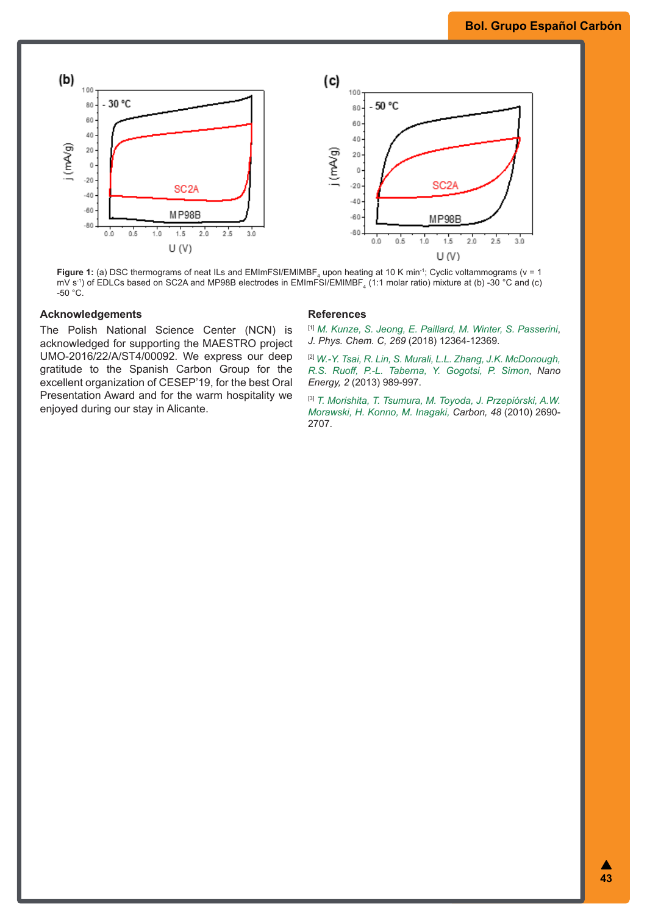## **Bol. Grupo Español Carbón**



**Figure 1:** (a) DSC thermograms of neat ILs and EMImFSI/EMIMBF<sub>4</sub> upon heating at 10 K min<sup>-1</sup>; Cyclic voltammograms (v = 1 mV s<sup>-1</sup>) of EDLCs based on SC2A and MP98B electrodes in EMImFSI/EMIMBF<sub>4</sub> (1:1 molar ratio) mixture at (b) -30 °C and (c)  $-50 °C$ .

## **Acknowledgements**

The Polish National Science Center (NCN) is acknowledged for supporting the MAESTRO project UMO-2016/22/A/ST4/00092. We express our deep gratitude to the Spanish Carbon Group for the excellent organization of CESEP'19, for the best Oral Presentation Award and for the warm hospitality we enjoyed during our stay in Alicante.

### **References**

[1] *M. Kunze, S. Jeong, E. Paillard, M. Winter, S. Passerini*, *J. Phys. Chem. C, 269* (2018) 12364-12369.

[2] *W.-Y. Tsai, R. Lin, S. Murali, L.L. Zhang, J.K. McDonough, R.S. Ruoff, P.-L. Taberna, Y. Gogotsi, P. Simon*, *Nano Energy, 2* (2013) 989-997.

[3] *T. Morishita, T. Tsumura, M. Toyoda, J. Przepiórski, A.W. Morawski, H. Konno, M. Inagaki, Carbon, 48* (2010) 2690- 2707.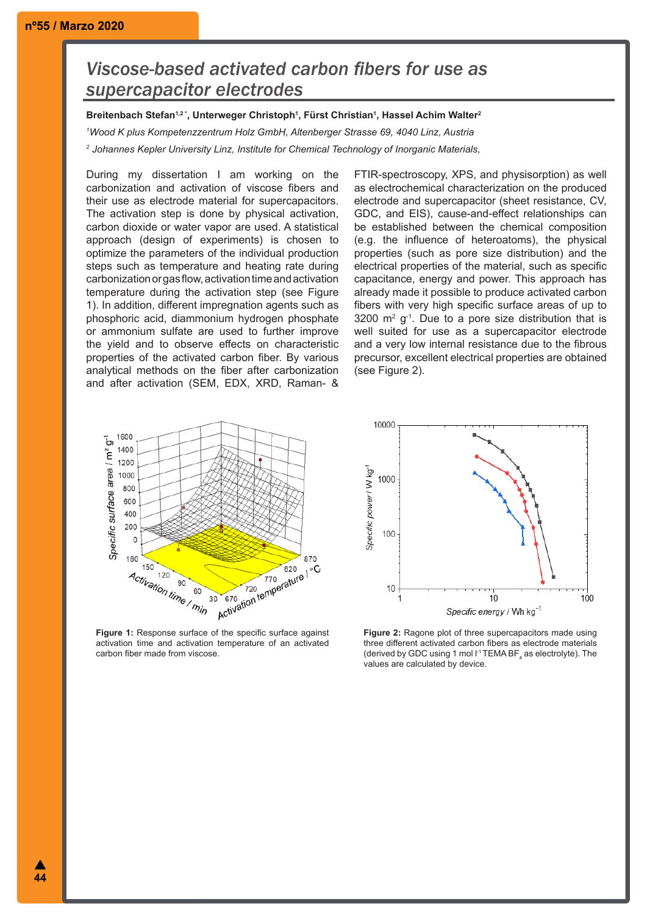# *Viscose-based activated carbon fibers for use as supercapacitor electrodes*

**Breitenbach Stefan1,2 \*, Unterweger Christoph1 , Fürst Christian1 , Hassel Achim Walter2**

*1 Wood K plus Kompetenzzentrum Holz GmbH, Altenberger Strasse 69, 4040 Linz, Austria*

*2 Johannes Kepler University Linz, Institute for Chemical Technology of Inorganic Materials,*

During my dissertation I am working on the carbonization and activation of viscose fibers and their use as electrode material for supercapacitors. The activation step is done by physical activation, carbon dioxide or water vapor are used. A statistical approach (design of experiments) is chosen to optimize the parameters of the individual production steps such as temperature and heating rate during carbonization or gas flow, activation time and activation temperature during the activation step (see Figure 1). In addition, different impregnation agents such as phosphoric acid, diammonium hydrogen phosphate or ammonium sulfate are used to further improve the yield and to observe effects on characteristic properties of the activated carbon fiber. By various analytical methods on the fiber after carbonization and after activation (SEM, EDX, XRD, Raman- & FTIR-spectroscopy, XPS, and physisorption) as well as electrochemical characterization on the produced electrode and supercapacitor (sheet resistance, CV, GDC, and EIS), cause-and-effect relationships can be established between the chemical composition (e.g. the influence of heteroatoms), the physical properties (such as pore size distribution) and the electrical properties of the material, such as specific capacitance, energy and power. This approach has already made it possible to produce activated carbon fibers with very high specific surface areas of up to  $3200 \, \text{m}^2 \, \text{g}^{-1}$ . Due to a pore size distribution that is well suited for use as a supercapacitor electrode and a very low internal resistance due to the fibrous precursor, excellent electrical properties are obtained (see Figure 2).



carbon fiber made from viscose.

10  $10$ **Figure 1:** Response surface of the specific surface against activation time and activation temperature of an activated



**Figure 2:** Ragone plot of three supercapacitors made using three different activated carbon fibers as electrode materials (derived by GDC using 1 mol  $I^1$ TEMA BF<sub>4</sub> as electrolyte). The values are calculated by device.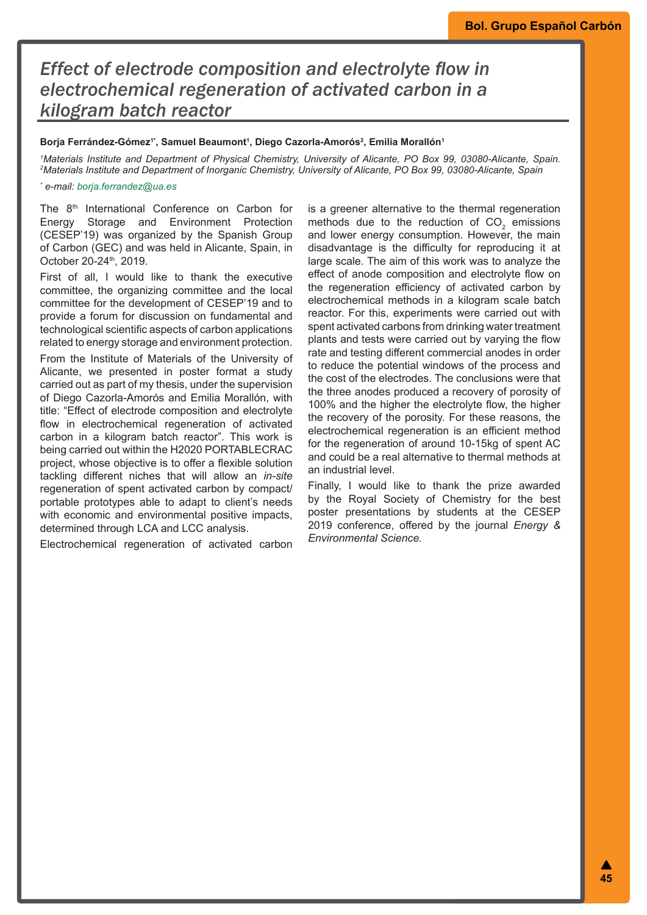# *Effect of electrode composition and electrolyte flow in electrochemical regeneration of activated carbon in a kilogram batch reactor*

## Borja Ferrández-Gómez'', Samuel Beaumont', Diego Cazorla-Amorós<sup>2</sup>, Emilia Morallón'

*1 Materials Institute and Department of Physical Chemistry, University of Alicante, PO Box 99, 03080-Alicante, Spain. 2 Materials Institute and Department of Inorganic Chemistry, University of Alicante, PO Box 99, 03080-Alicante, Spain*

#### *\* e-mail: borja.ferrandez@ua.es*

The 8<sup>th</sup> International Conference on Carbon for Energy Storage and Environment Protection (CESEP'19) was organized by the Spanish Group of Carbon (GEC) and was held in Alicante, Spain, in October 20-24<sup>th</sup>, 2019.

First of all, I would like to thank the executive committee, the organizing committee and the local committee for the development of CESEP'19 and to provide a forum for discussion on fundamental and technological scientific aspects of carbon applications related to energy storage and environment protection.

From the Institute of Materials of the University of Alicante, we presented in poster format a study carried out as part of my thesis, under the supervision of Diego Cazorla-Amorós and Emilia Morallón, with title: "Effect of electrode composition and electrolyte flow in electrochemical regeneration of activated carbon in a kilogram batch reactor". This work is being carried out within the H2020 PORTABLECRAC project, whose objective is to offer a flexible solution tackling different niches that will allow an *in-site* regeneration of spent activated carbon by compact/ portable prototypes able to adapt to client's needs with economic and environmental positive impacts, determined through LCA and LCC analysis.

Electrochemical regeneration of activated carbon

is a greener alternative to the thermal regeneration methods due to the reduction of  $CO_2$  emissions and lower energy consumption. However, the main disadvantage is the difficulty for reproducing it at large scale. The aim of this work was to analyze the effect of anode composition and electrolyte flow on the regeneration efficiency of activated carbon by electrochemical methods in a kilogram scale batch reactor. For this, experiments were carried out with spent activated carbons from drinking water treatment plants and tests were carried out by varying the flow rate and testing different commercial anodes in order to reduce the potential windows of the process and the cost of the electrodes. The conclusions were that the three anodes produced a recovery of porosity of 100% and the higher the electrolyte flow, the higher the recovery of the porosity. For these reasons, the electrochemical regeneration is an efficient method for the regeneration of around 10-15kg of spent AC and could be a real alternative to thermal methods at an industrial level.

Finally, I would like to thank the prize awarded by the Royal Society of Chemistry for the best poster presentations by students at the CESEP 2019 conference, offered by the journal *Energy & Environmental Science.*